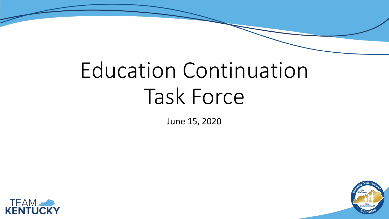# Education Continuation Task Force

June 15, 2020



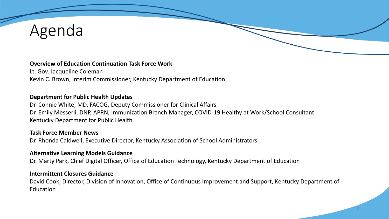## Agenda

#### **Overview of Education Continuation Task Force Work**

Lt. Gov. Jacqueline Coleman Kevin C. Brown, Interim Commissioner, Kentucky Department of Education

#### **Department for Public Health Updates**

Dr. Connie White, MD, FACOG, Deputy Commissioner for Clinical Affairs Dr. Emily Messerli, DNP, APRN, Immunization Branch Manager, COVID-19 Healthy at Work/School Consultant Kentucky Department for Public Health

#### **Task Force Member News**

Dr. Rhonda Caldwell, Executive Director, Kentucky Association of School Administrators

#### **Alternative Learning Models Guidance**

Dr. Marty Park, Chief Digital Officer, Office of Education Technology, Kentucky Department of Education

#### **Intermittent Closures Guidance**

David Cook, Director, Division of Innovation, Office of Continuous Improvement and Support, Kentucky Department of Education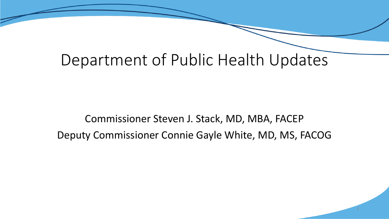### Department of Public Health Updates

Commissioner Steven J. Stack, MD, MBA, FACEP Deputy Commissioner Connie Gayle White, MD, MS, FACOG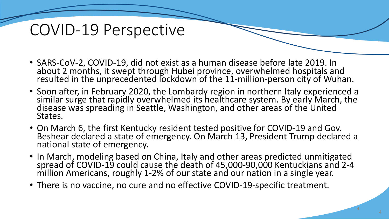### COVID-19 Perspective

- SARS-CoV-2, COVID-19, did not exist as a human disease before late 2019. In about 2 months, it swept through Hubei province, overwhelmed hospitals and resulted in the unprecedented lockdown of the 11-million-person city of Wuhan.
- Soon after, in February 2020, the Lombardy region in northern Italy experienced a similar surge that rapidly overwhelmed its healthcare system. By early March, the disease was spreading in Seattle, Washington, and other areas of the United States.
- On March 6, the first Kentucky resident tested positive for COVID-19 and Gov. Beshear declared a state of emergency. On March 13, President Trump declared a national state of emergency.
- In March, modeling based on China, Italy and other areas predicted unmitigated spread of COVID-19 could cause the death of 45,000-90,000 Kentuckians and 2-4 million Americans, roughly 1-2% of our state and our nation in a single year.
- There is no vaccine, no cure and no effective COVID-19-specific treatment.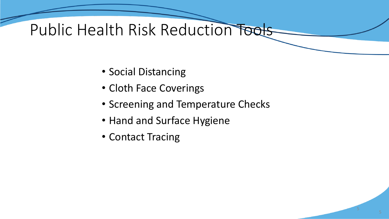## Public Health Risk Reduction Tools

- Social Distancing
- Cloth Face Coverings
- Screening and Temperature Checks
- Hand and Surface Hygiene
- Contact Tracing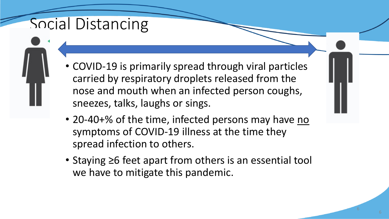## Social Distancing

- COVID-19 is primarily spread through viral particles carried by respiratory droplets released from the nose and mouth when an infected person coughs, sneezes, talks, laughs or sings.
- 20-40+% of the time, infected persons may have no symptoms of COVID-19 illness at the time they spread infection to others.
- Staying ≥6 feet apart from others is an essential tool we have to mitigate this pandemic.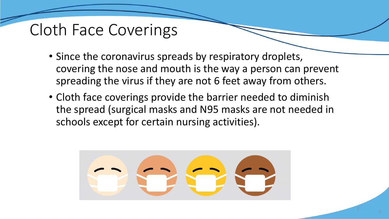## Cloth Face Coverings

- Since the coronavirus spreads by respiratory droplets, covering the nose and mouth is the way a person can prevent spreading the virus if they are not 6 feet away from others.
- Cloth face coverings provide the barrier needed to diminish the spread (surgical masks and N95 masks are not needed in schools except for certain nursing activities).

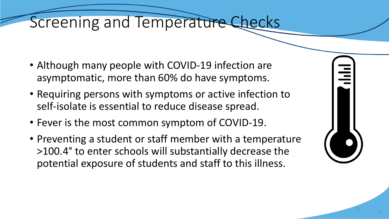### Screening and Temperature Checks

- Although many people with COVID-19 infection are asymptomatic, more than 60% do have symptoms.
- Requiring persons with symptoms or active infection to self-isolate is essential to reduce disease spread.
- Fever is the most common symptom of COVID-19.
- Preventing a student or staff member with a temperature >100.4° to enter schools will substantially decrease the potential exposure of students and staff to this illness.

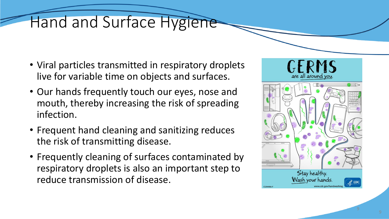## Hand and Surface Hygiene

- Viral particles transmitted in respiratory droplets live for variable time on objects and surfaces.
- Our hands frequently touch our eyes, nose and mouth, thereby increasing the risk of spreading infection.
- Frequent hand cleaning and sanitizing reduces the risk of transmitting disease.
- Frequently cleaning of surfaces contaminated by respiratory droplets is also an important step to reduce transmission of disease.

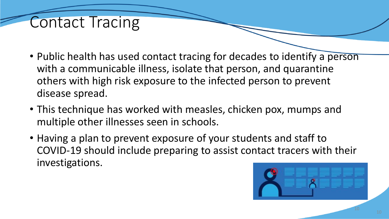#### Contact Tracing

- Public health has used contact tracing for decades to identify a person with a communicable illness, isolate that person, and quarantine others with high risk exposure to the infected person to prevent disease spread.
- This technique has worked with measles, chicken pox, mumps and multiple other illnesses seen in schools.
- Having a plan to prevent exposure of your students and staff to COVID-19 should include preparing to assist contact tracers with their investigations.

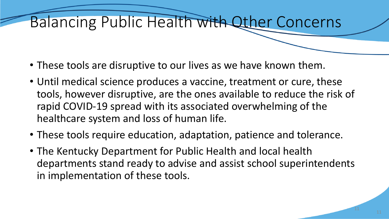## Balancing Public Health with Other Concerns

- These tools are disruptive to our lives as we have known them.
- Until medical science produces a vaccine, treatment or cure, these tools, however disruptive, are the ones available to reduce the risk of rapid COVID-19 spread with its associated overwhelming of the healthcare system and loss of human life.
- These tools require education, adaptation, patience and tolerance.
- The Kentucky Department for Public Health and local health departments stand ready to advise and assist school superintendents in implementation of these tools.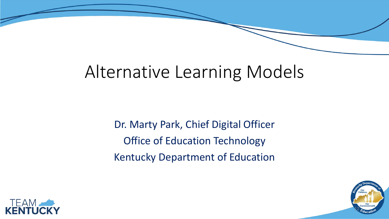## Alternative Learning Models

Dr. Marty Park, Chief Digital Officer Office of Education Technology Kentucky Department of Education



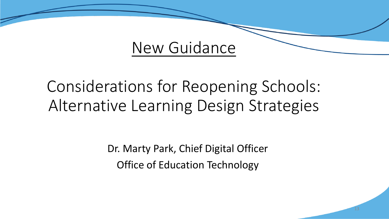### New Guidance

## Considerations for Reopening Schools: Alternative Learning Design Strategies

Dr. Marty Park, Chief Digital Officer Office of Education Technology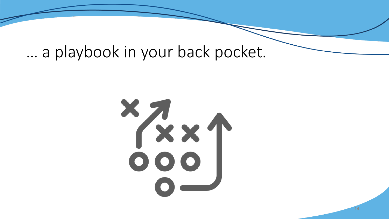### … a playbook in your back pocket.

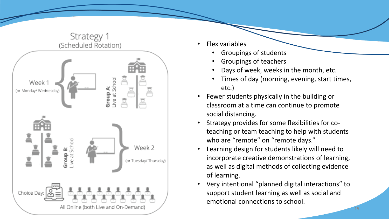

- Flex variables
	- Groupings of students
	- Groupings of teachers
	- Days of week, weeks in the month, etc.
	- Times of day (morning, evening, start times, etc.)
- Fewer students physically in the building or classroom at a time can continue to promote social distancing.
- Strategy provides for some flexibilities for coteaching or team teaching to help with students who are "remote" on "remote days."
- Learning design for students likely will need to incorporate creative demonstrations of learning, as well as digital methods of collecting evidence of learning.
- Very intentional "planned digital interactions" to support student learning as well as social and emotional connections to school.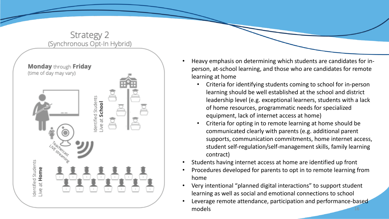

- Heavy emphasis on determining which students are candidates for inperson, at-school learning, and those who are candidates for remote learning at home
	- Criteria for identifying students coming to school for in-person learning should be well established at the school and district leadership level (e.g. exceptional learners, students with a lack of home resources, programmatic needs for specialized equipment, lack of internet access at home)
	- Criteria for opting in to remote learning at home should be communicated clearly with parents (e.g. additional parent supports, communication commitments, home internet access, student self-regulation/self-management skills, family learning contract)
- Students having internet access at home are identified up front
- Procedures developed for parents to opt in to remote learning from home
- Very intentional "planned digital interactions" to support student learning as well as social and emotional connections to school
- Leverage remote attendance, participation and performance-based models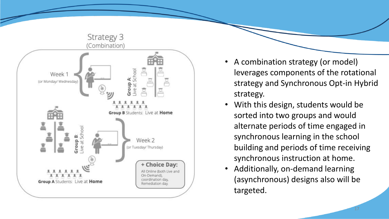

- A combination strategy (or model) leverages components of the rotational strategy and Synchronous Opt-in Hybrid strategy.
- With this design, students would be sorted into two groups and would alternate periods of time engaged in synchronous learning in the school building and periods of time receiving synchronous instruction at home.
- Additionally, on-demand learning (asynchronous) designs also will be targeted.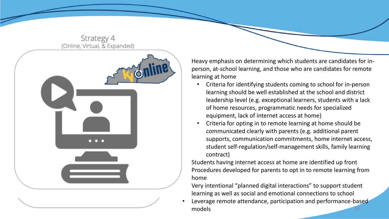



• Heavy emphasis on determining which students are candidates for inperson, at-school learning, and those who are candidates for remote learning at home

- Criteria for identifying students coming to school for in-person learning should be well established at the school and district leadership level (e.g. exceptional learners, students with a lack of home resources, programmatic needs for specialized equipment, lack of internet access at home)
- Criteria for opting in to remote learning at home should be communicated clearly with parents (e.g. additional parent supports, communication commitments, home internet access, student self-regulation/self-management skills, family learning contract)

• Students having internet access at home are identified up front • Procedures developed for parents to opt in to remote learning from home

• Very intentional "planned digital interactions" to support student learning as well as social and emotional connections to school

Leverage remote attendance, participation and performance-based models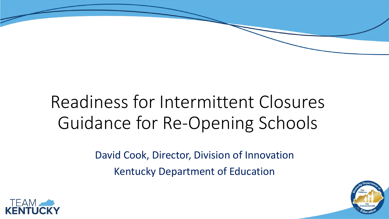## Readiness for Intermittent Closures Guidance for Re-Opening Schools

David Cook, Director, Division of Innovation Kentucky Department of Education



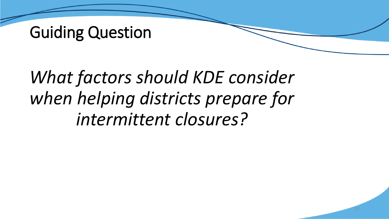## Guiding Question

## *What factors should KDE consider when helping districts prepare for intermittent closures?*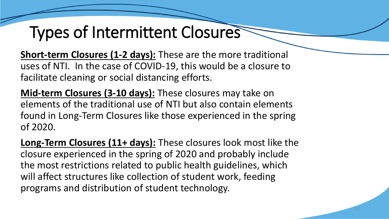## Types of Intermittent Closures

**Short-term Closures (1-2 days):** These are the more traditional uses of NTI. In the case of COVID-19, this would be a closure to facilitate cleaning or social distancing efforts.

**Mid-term Closures (3-10 days):** These closures may take on elements of the traditional use of NTI but also contain elements found in Long-Term Closures like those experienced in the spring of 2020.

**Long-Term Closures (11+ days):** These closures look most like the closure experienced in the spring of 2020 and probably include the most restrictions related to public health guidelines, which will affect structures like collection of student work, feeding programs and distribution of student technology.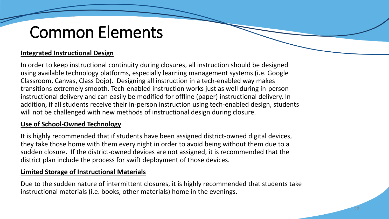## Common Elements

#### **Integrated Instructional Design**

In order to keep instructional continuity during closures, all instruction should be designed using available technology platforms, especially learning management systems (i.e. Google Classroom, Canvas, Class Dojo). Designing all instruction in a tech-enabled way makes transitions extremely smooth. Tech-enabled instruction works just as well during in-person instructional delivery and can easily be modified for offline (paper) instructional delivery. In addition, if all students receive their in-person instruction using tech-enabled design, students will not be challenged with new methods of instructional design during closure.

#### **Use of School-Owned Technology**

It is highly recommended that if students have been assigned district-owned digital devices, they take those home with them every night in order to avoid being without them due to a sudden closure. If the district-owned devices are not assigned, it is recommended that the district plan include the process for swift deployment of those devices.

#### **Limited Storage of Instructional Materials**

Due to the sudden nature of intermittent closures, it is highly recommended that students take instructional materials (i.e. books, other materials) home in the evenings.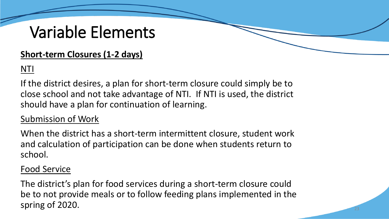### Variable Elements

#### **Short-term Closures (1-2 days)**

#### NTI

If the district desires, a plan for short-term closure could simply be to close school and not take advantage of NTI. If NTI is used, the district should have a plan for continuation of learning.

#### Submission of Work

When the district has a short-term intermittent closure, student work and calculation of participation can be done when students return to school.

#### Food Service

The district's plan for food services during a short-term closure could be to not provide meals or to follow feeding plans implemented in the spring of 2020.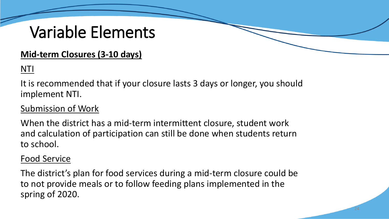### Variable Elements

#### **Mid-term Closures (3-10 days)**

#### NTI

It is recommended that if your closure lasts 3 days or longer, you should implement NTI.

#### Submission of Work

When the district has a mid-term intermittent closure, student work and calculation of participation can still be done when students return to school.

#### Food Service

The district's plan for food services during a mid-term closure could be to not provide meals or to follow feeding plans implemented in the spring of 2020.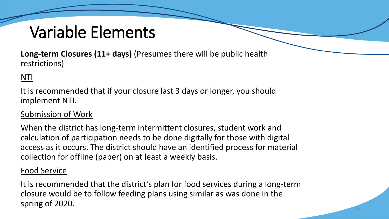## Variable Elements

**Long-term Closures (11+ days)** (Presumes there will be public health restrictions)

#### NTI

It is recommended that if your closure last 3 days or longer, you should implement NTI.

#### Submission of Work

When the district has long-term intermittent closures, student work and calculation of participation needs to be done digitally for those with digital access as it occurs. The district should have an identified process for material collection for offline (paper) on at least a weekly basis.

#### Food Service

It is recommended that the district's plan for food services during a long-term closure would be to follow feeding plans using similar as was done in the spring of 2020.